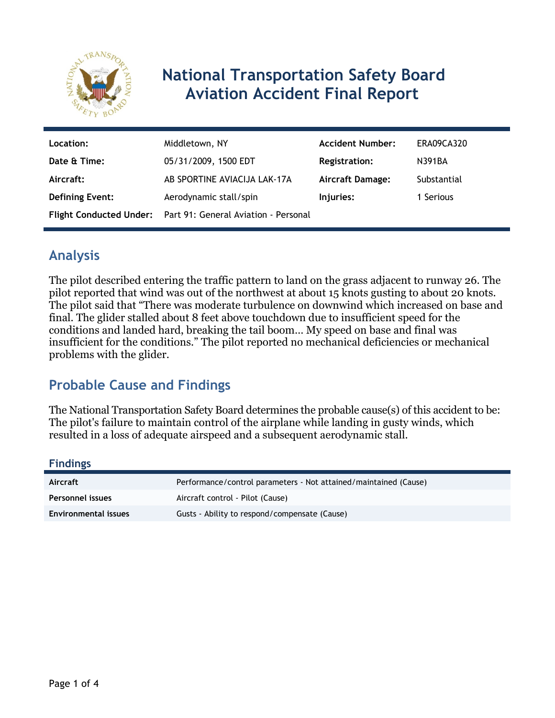

# **National Transportation Safety Board Aviation Accident Final Report**

| Location:              | Middletown, NY                                               | <b>Accident Number:</b> | ERA09CA320  |
|------------------------|--------------------------------------------------------------|-------------------------|-------------|
| Date & Time:           | 05/31/2009, 1500 EDT                                         | <b>Registration:</b>    | N391BA      |
| Aircraft:              | AB SPORTINE AVIACIJA LAK-17A                                 | Aircraft Damage:        | Substantial |
| <b>Defining Event:</b> | Aerodynamic stall/spin                                       | Injuries:               | 1 Serious   |
|                        | Flight Conducted Under: Part 91: General Aviation - Personal |                         |             |

# **Analysis**

The pilot described entering the traffic pattern to land on the grass adjacent to runway 26. The pilot reported that wind was out of the northwest at about 15 knots gusting to about 20 knots. The pilot said that "There was moderate turbulence on downwind which increased on base and final. The glider stalled about 8 feet above touchdown due to insufficient speed for the conditions and landed hard, breaking the tail boom… My speed on base and final was insufficient for the conditions." The pilot reported no mechanical deficiencies or mechanical problems with the glider.

# **Probable Cause and Findings**

The National Transportation Safety Board determines the probable cause(s) of this accident to be: The pilot's failure to maintain control of the airplane while landing in gusty winds, which resulted in a loss of adequate airspeed and a subsequent aerodynamic stall.

#### **Findings**

| Aircraft                | Performance/control parameters - Not attained/maintained (Cause) |
|-------------------------|------------------------------------------------------------------|
| <b>Personnel issues</b> | Aircraft control - Pilot (Cause)                                 |
| Environmental issues    | Gusts - Ability to respond/compensate (Cause)                    |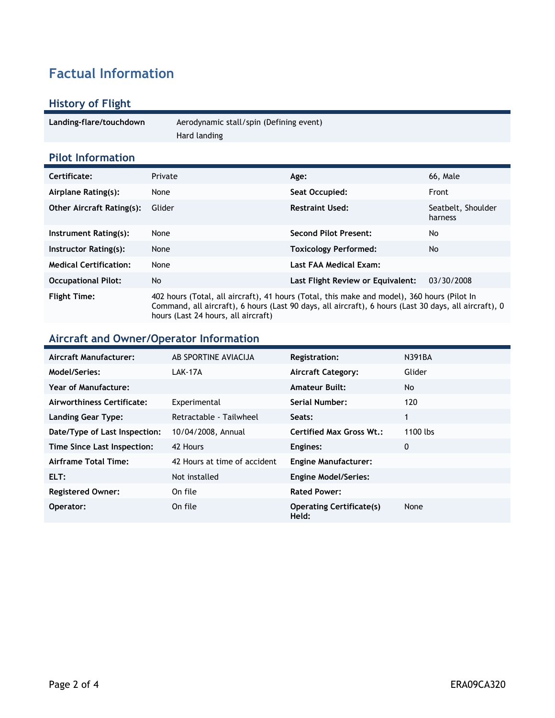# **Factual Information**

## **History of Flight**

| Landing-flare/touchdown | Aerodynamic stall/spin (Defining event) |  |
|-------------------------|-----------------------------------------|--|
|                         | Hard landing                            |  |

### **Pilot Information**

| Certificate:                     | Private                                                                                                                                                                                                                                     | Age:                              | 66, Male                      |
|----------------------------------|---------------------------------------------------------------------------------------------------------------------------------------------------------------------------------------------------------------------------------------------|-----------------------------------|-------------------------------|
| Airplane Rating(s):              | None                                                                                                                                                                                                                                        | Seat Occupied:                    | Front                         |
| <b>Other Aircraft Rating(s):</b> | Glider                                                                                                                                                                                                                                      | <b>Restraint Used:</b>            | Seatbelt, Shoulder<br>harness |
| Instrument Rating(s):            | None                                                                                                                                                                                                                                        | <b>Second Pilot Present:</b>      | No                            |
| Instructor Rating(s):            | None                                                                                                                                                                                                                                        | <b>Toxicology Performed:</b>      | No.                           |
| <b>Medical Certification:</b>    | None                                                                                                                                                                                                                                        | Last FAA Medical Exam:            |                               |
| <b>Occupational Pilot:</b>       | No                                                                                                                                                                                                                                          | Last Flight Review or Equivalent: | 03/30/2008                    |
| <b>Flight Time:</b>              | 402 hours (Total, all aircraft), 41 hours (Total, this make and model), 360 hours (Pilot In<br>Command, all aircraft), 6 hours (Last 90 days, all aircraft), 6 hours (Last 30 days, all aircraft), 0<br>hours (Last 24 hours, all aircraft) |                                   |                               |

#### **Aircraft and Owner/Operator Information**

| Aircraft Manufacturer:        | AB SPORTINE AVIACIJA         | <b>Registration:</b>                     | N391BA   |
|-------------------------------|------------------------------|------------------------------------------|----------|
| Model/Series:                 | LAK-17A                      | <b>Aircraft Category:</b>                | Glider   |
| Year of Manufacture:          |                              | <b>Amateur Built:</b>                    | No       |
| Airworthiness Certificate:    | Experimental                 | Serial Number:                           | 120      |
| <b>Landing Gear Type:</b>     | Retractable - Tailwheel      | Seats:                                   | 1        |
| Date/Type of Last Inspection: | 10/04/2008, Annual           | <b>Certified Max Gross Wt.:</b>          | 1100 lbs |
| Time Since Last Inspection:   | 42 Hours                     | Engines:                                 | 0        |
| Airframe Total Time:          | 42 Hours at time of accident | <b>Engine Manufacturer:</b>              |          |
| ELT:                          | Not installed                | <b>Engine Model/Series:</b>              |          |
| <b>Registered Owner:</b>      | On file                      | <b>Rated Power:</b>                      |          |
| Operator:                     | On file                      | <b>Operating Certificate(s)</b><br>Held: | None     |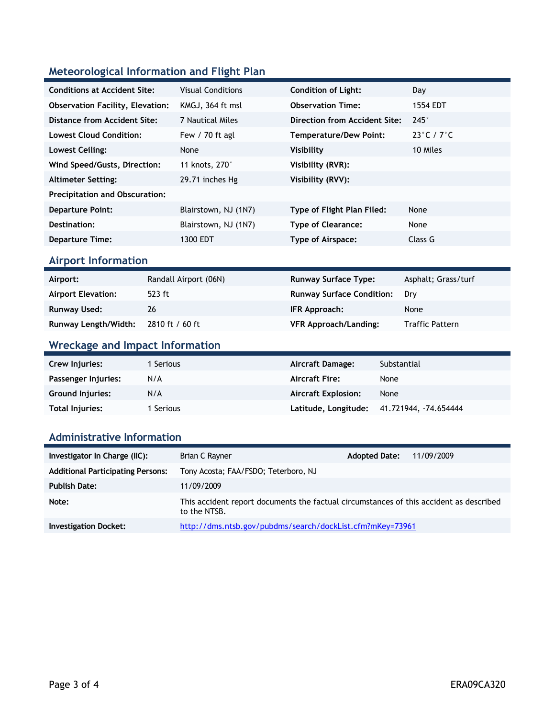## **Meteorological Information and Flight Plan**

| <b>Conditions at Accident Site:</b>     | <b>Visual Conditions</b> | <b>Condition of Light:</b>    | Day                             |
|-----------------------------------------|--------------------------|-------------------------------|---------------------------------|
| <b>Observation Facility, Elevation:</b> | KMGJ, 364 ft msl         | <b>Observation Time:</b>      | 1554 EDT                        |
| Distance from Accident Site:            | 7 Nautical Miles         | Direction from Accident Site: | $245^\circ$                     |
| <b>Lowest Cloud Condition:</b>          | Few $/$ 70 ft agl        | <b>Temperature/Dew Point:</b> | $23^{\circ}$ C / 7 $^{\circ}$ C |
| Lowest Ceiling:                         | None                     | <b>Visibility</b>             | 10 Miles                        |
| Wind Speed/Gusts, Direction:            | 11 knots, 270°           | Visibility (RVR):             |                                 |
| <b>Altimeter Setting:</b>               | 29.71 inches Hg          | Visibility (RVV):             |                                 |
| <b>Precipitation and Obscuration:</b>   |                          |                               |                                 |
| <b>Departure Point:</b>                 | Blairstown, NJ (1N7)     | Type of Flight Plan Filed:    | None                            |
| Destination:                            | Blairstown, NJ (1N7)     | <b>Type of Clearance:</b>     | None                            |
| <b>Departure Time:</b>                  | 1300 EDT                 | <b>Type of Airspace:</b>      | Class G                         |

### **Airport Information**

| Airport:                  | Randall Airport (06N) | <b>Runway Surface Type:</b>      | Asphalt; Grass/turf    |
|---------------------------|-----------------------|----------------------------------|------------------------|
| <b>Airport Elevation:</b> | 523 ft                | <b>Runway Surface Condition:</b> | Drv                    |
| Runway Used:              | 26                    | IFR Approach:                    | None                   |
| Runway Length/Width:      | 2810 ft / 60 ft       | <b>VFR Approach/Landing:</b>     | <b>Traffic Pattern</b> |

# **Wreckage and Impact Information**

| Crew Injuries:          | Serious   | Aircraft Damage:           | Substantial          |
|-------------------------|-----------|----------------------------|----------------------|
| Passenger Injuries:     | N/A       | <b>Aircraft Fire:</b>      | None                 |
| <b>Ground Injuries:</b> | N/A       | <b>Aircraft Explosion:</b> | None                 |
| Total Injuries:         | I Serious | Latitude, Longitude:       | 41.721944, 74.654444 |

#### **Administrative Information**

| Investigator In Charge (IIC):            | Brian C Rayner                                                                                         | <b>Adopted Date:</b> | 11/09/2009 |
|------------------------------------------|--------------------------------------------------------------------------------------------------------|----------------------|------------|
| <b>Additional Participating Persons:</b> | Tony Acosta; FAA/FSDO; Teterboro, NJ                                                                   |                      |            |
| <b>Publish Date:</b>                     | 11/09/2009                                                                                             |                      |            |
| Note:                                    | This accident report documents the factual circumstances of this accident as described<br>to the NTSB. |                      |            |
| <b>Investigation Docket:</b>             | http://dms.ntsb.gov/pubdms/search/dockList.cfm?mKey=73961                                              |                      |            |